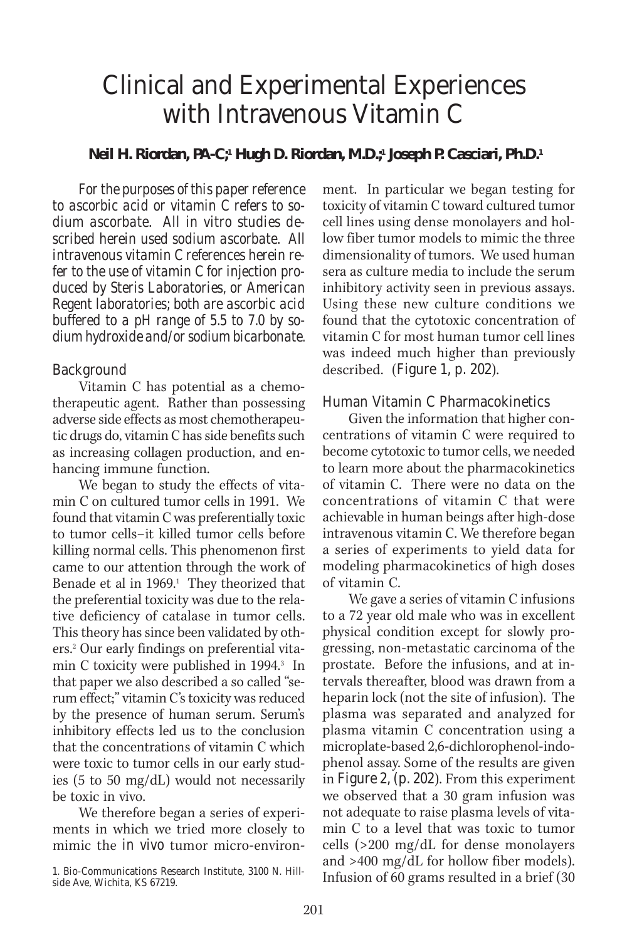# Clinical and Experimental Experiences with Intravenous Vitamin C

# **Neil H. Riordan, PA-C;1 Hugh D. Riordan, M.D.;1 Joseph P. Casciari, Ph.D.1**

*For the purposes of this paper reference to ascorbic acid or vitamin C refers to sodium ascorbate. All in vitro studies described herein used sodium ascorbate. All intravenous vitamin C references herein refer to the use of vitamin C for injection produced by Steris Laboratories, or American Regent laboratories; both are ascorbic acid buffered to a pH range of 5.5 to 7.0 by sodium hydroxide and/or sodium bicarbonate.*

## Background

Vitamin C has potential as a chemotherapeutic agent. Rather than possessing adverse side effects as most chemotherapeutic drugs do, vitamin C has side benefits such as increasing collagen production, and enhancing immune function.

We began to study the effects of vitamin C on cultured tumor cells in 1991. We found that vitamin C was preferentially toxic to tumor cells–it killed tumor cells before killing normal cells. This phenomenon first came to our attention through the work of Benade et al in 1969.<sup>1</sup> They theorized that the preferential toxicity was due to the relative deficiency of catalase in tumor cells. This theory has since been validated by others.2 Our early findings on preferential vitamin C toxicity were published in 1994.<sup>3</sup> In that paper we also described a so called "serum effect;" vitamin C's toxicity was reduced by the presence of human serum. Serum's inhibitory effects led us to the conclusion that the concentrations of vitamin C which were toxic to tumor cells in our early studies (5 to 50 mg/dL) would not necessarily be toxic in vivo.

We therefore began a series of experiments in which we tried more closely to mimic the *in vivo* tumor micro-environment. In particular we began testing for toxicity of vitamin C toward cultured tumor cell lines using dense monolayers and hollow fiber tumor models to mimic the three dimensionality of tumors. We used human sera as culture media to include the serum inhibitory activity seen in previous assays. Using these new culture conditions we found that the cytotoxic concentration of vitamin C for most human tumor cell lines was indeed much higher than previously described. (Figure 1, p. 202).

## Human Vitamin C Pharmacokinetics

Given the information that higher concentrations of vitamin C were required to become cytotoxic to tumor cells, we needed to learn more about the pharmacokinetics of vitamin C. There were no data on the concentrations of vitamin C that were achievable in human beings after high-dose intravenous vitamin C. We therefore began a series of experiments to yield data for modeling pharmacokinetics of high doses of vitamin C.

We gave a series of vitamin C infusions to a 72 year old male who was in excellent physical condition except for slowly progressing, non-metastatic carcinoma of the prostate. Before the infusions, and at intervals thereafter, blood was drawn from a heparin lock (not the site of infusion). The plasma was separated and analyzed for plasma vitamin C concentration using a microplate-based 2,6-dichlorophenol-indophenol assay. Some of the results are given in Figure 2, (p. 202). From this experiment we observed that a 30 gram infusion was not adequate to raise plasma levels of vitamin C to a level that was toxic to tumor cells (>200 mg/dL for dense monolayers and >400 mg/dL for hollow fiber models). Infusion of 60 grams resulted in a brief (30

<sup>1.</sup> Bio-Communications Research Institute, 3100 N. Hillside Ave, Wichita, KS 67219.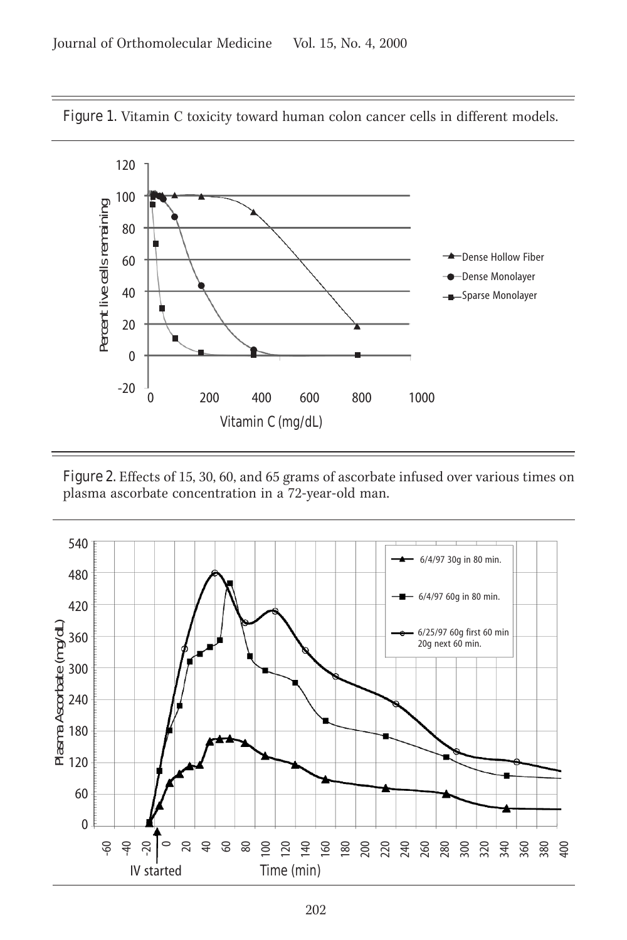

Figure 1. Vitamin C toxicity toward human colon cancer cells in different models.

Figure 2. Effects of 15, 30, 60, and 65 grams of ascorbate infused over various times on plasma ascorbate concentration in a 72-year-old man.

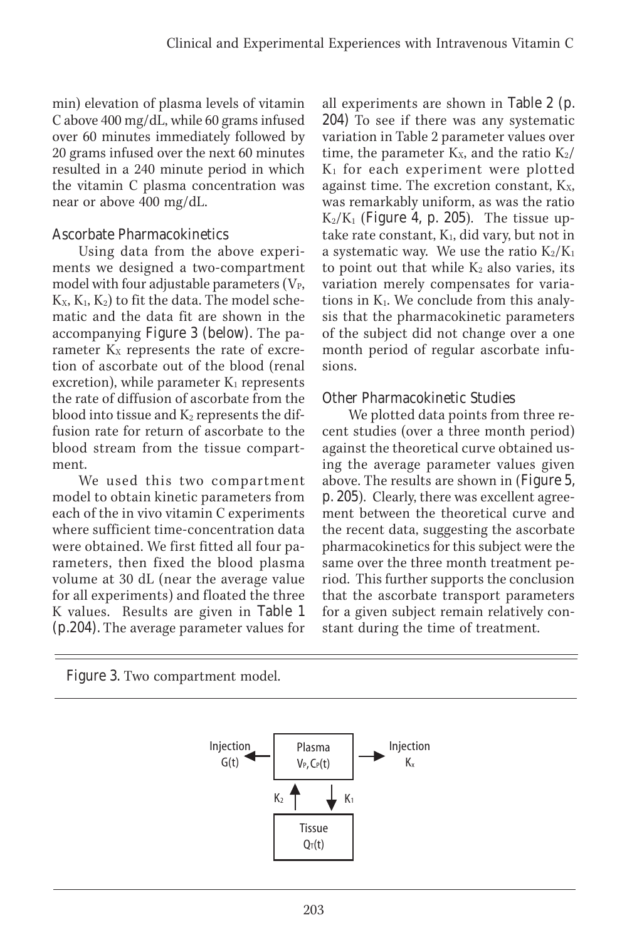min) elevation of plasma levels of vitamin C above 400 mg/dL, while 60 grams infused over 60 minutes immediately followed by 20 grams infused over the next 60 minutes resulted in a 240 minute period in which the vitamin C plasma concentration was near or above 400 mg/dL.

# Ascorbate Pharmacokinetics

Using data from the above experiments we designed a two-compartment model with four adjustable parameters  $(V_{P}$ ,  $K_{x}$ ,  $K_{1}$ ,  $K_{2}$ ) to fit the data. The model schematic and the data fit are shown in the accompanying Figure 3 (below). The parameter  $K_X$  represents the rate of excretion of ascorbate out of the blood (renal excretion), while parameter  $K_1$  represents the rate of diffusion of ascorbate from the blood into tissue and  $K_2$  represents the diffusion rate for return of ascorbate to the blood stream from the tissue compartment.

We used this two compartment model to obtain kinetic parameters from each of the in vivo vitamin C experiments where sufficient time-concentration data were obtained. We first fitted all four parameters, then fixed the blood plasma volume at 30 dL (near the average value for all experiments) and floated the three K values. Results are given in Table 1 (p.204). The average parameter values for all experiments are shown in Table 2 (p. 204) To see if there was any systematic variation in Table 2 parameter values over time, the parameter  $K_x$ , and the ratio  $K_2/$  $K_1$  for each experiment were plotted against time. The excretion constant,  $K_X$ , was remarkably uniform, as was the ratio  $K_2/K_1$  (Figure 4, p. 205). The tissue uptake rate constant,  $K_1$ , did vary, but not in a systematic way. We use the ratio  $K_2/K_1$ to point out that while  $K_2$  also varies, its variation merely compensates for variations in K1. We conclude from this analysis that the pharmacokinetic parameters of the subject did not change over a one month period of regular ascorbate infusions.

# Other Pharmacokinetic Studies

We plotted data points from three recent studies (over a three month period) against the theoretical curve obtained using the average parameter values given above. The results are shown in (Figure 5, p. 205). Clearly, there was excellent agreement between the theoretical curve and the recent data, suggesting the ascorbate pharmacokinetics for this subject were the same over the three month treatment period. This further supports the conclusion that the ascorbate transport parameters for a given subject remain relatively constant during the time of treatment.

Figure 3. Two compartment model.

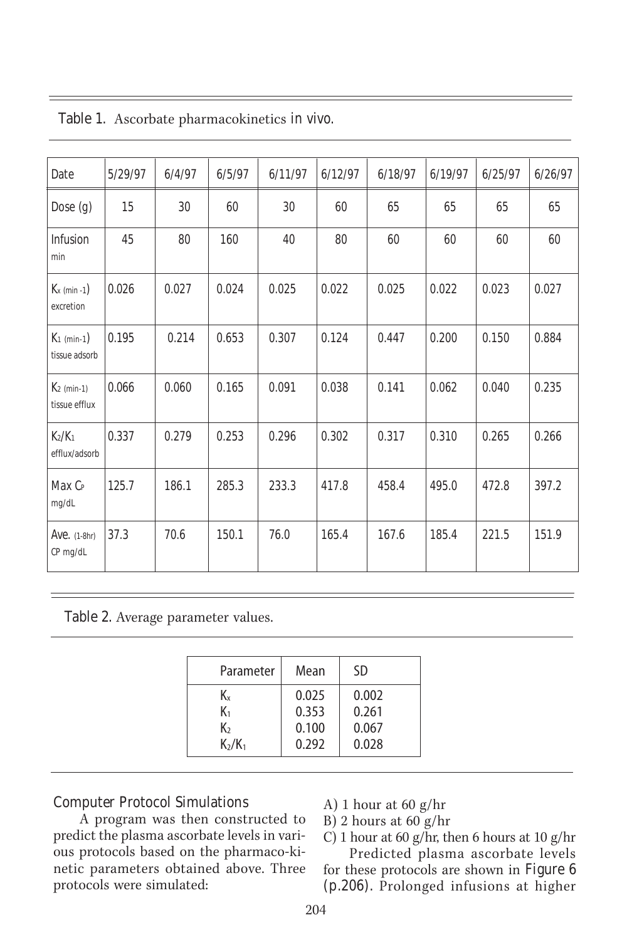| Date                                            | 5/29/97 | 6/4/97 | 6/5/97 | 6/11/97 | 6/12/97 | 6/18/97 | 6/19/97 | 6/25/97 | 6/26/97 |
|-------------------------------------------------|---------|--------|--------|---------|---------|---------|---------|---------|---------|
| Dose $(g)$                                      | 15      | 30     | 60     | 30      | 60      | 65      | 65      | 65      | 65      |
| <b>Infusion</b><br>min                          | 45      | 80     | 160    | 40      | 80      | 60      | 60      | 60      | 60      |
| $K_x$ (min -1)<br>excretion                     | 0.026   | 0.027  | 0.024  | 0.025   | 0.022   | 0.025   | 0.022   | 0.023   | 0.027   |
| $K_1$ (min-1)<br>tissue adsorb                  | 0.195   | 0.214  | 0.653  | 0.307   | 0.124   | 0.447   | 0.200   | 0.150   | 0.884   |
| $K2$ (min-1)<br>tissue efflux                   | 0.066   | 0.060  | 0.165  | 0.091   | 0.038   | 0.141   | 0.062   | 0.040   | 0.235   |
| K <sub>2</sub> /K <sub>1</sub><br>efflux/adsorb | 0.337   | 0.279  | 0.253  | 0.296   | 0.302   | 0.317   | 0.310   | 0.265   | 0.266   |
| Max C <sub>P</sub><br>mg/dL                     | 125.7   | 186.1  | 285.3  | 233.3   | 417.8   | 458.4   | 495.0   | 472.8   | 397.2   |
| <b>Ave.</b> (1-8hr)<br>CP mg/dL                 | 37.3    | 70.6   | 150.1  | 76.0    | 165.4   | 167.6   | 185.4   | 221.5   | 151.9   |

Table 1. Ascorbate pharmacokinetics *in vivo.*

Table 2. Average parameter values.

| Parameter      | Mean  | <b>SD</b> |  |
|----------------|-------|-----------|--|
| K.             | 0.025 | 0.002     |  |
| K <sub>1</sub> | 0.353 | 0.261     |  |
| K,             | 0.100 | 0.067     |  |
| $K_2/K_1$      | 0.292 | 0.028     |  |

### Computer Protocol Simulations

A program was then constructed to predict the plasma ascorbate levels in various protocols based on the pharmaco-kinetic parameters obtained above. Three protocols were simulated:

- A) 1 hour at 60 g/hr
- B) 2 hours at 60 g/hr
- C) 1 hour at 60 g/hr, then 6 hours at 10 g/hr Predicted plasma ascorbate levels

for these protocols are shown in Figure 6 (p.206). Prolonged infusions at higher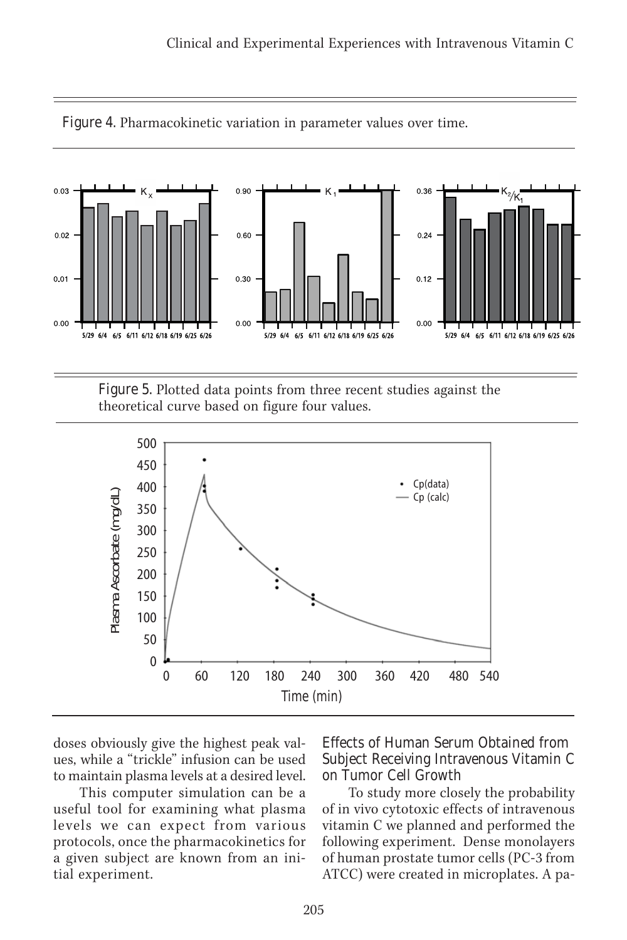

Figure 4. Pharmacokinetic variation in parameter values over time.

Figure 5. Plotted data points from three recent studies against the theoretical curve based on figure four values.



doses obviously give the highest peak values, while a "trickle" infusion can be used to maintain plasma levels at a desired level.

This computer simulation can be a useful tool for examining what plasma levels we can expect from various protocols, once the pharmacokinetics for a given subject are known from an initial experiment.

Effects of Human Serum Obtained from Subject Receiving Intravenous Vitamin C on Tumor Cell Growth

To study more closely the probability of in vivo cytotoxic effects of intravenous vitamin C we planned and performed the following experiment. Dense monolayers of human prostate tumor cells (PC-3 from ATCC) were created in microplates. A pa-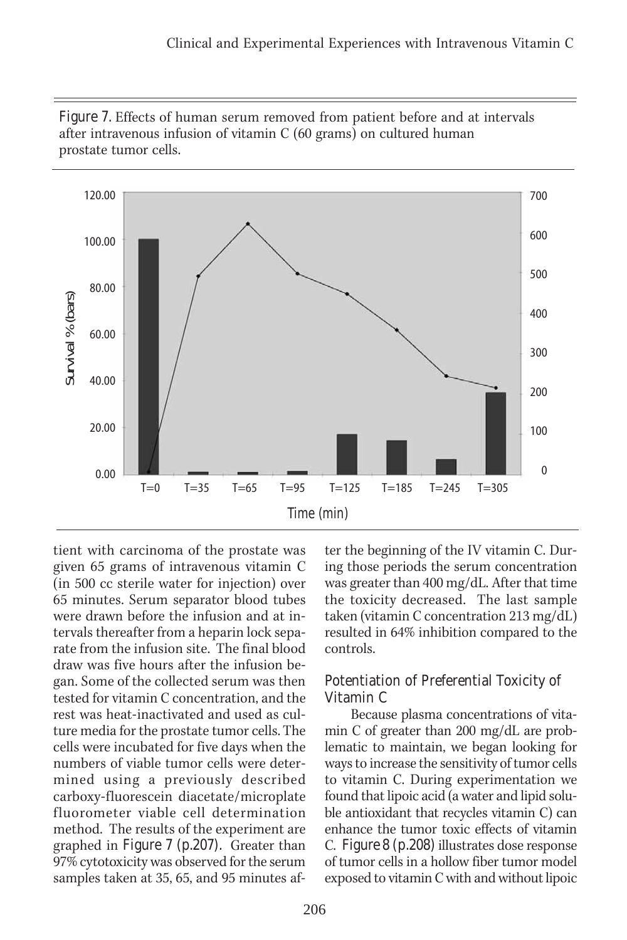

Figure 7. Effects of human serum removed from patient before and at intervals after intravenous infusion of vitamin C (60 grams) on cultured human prostate tumor cells.

tient with carcinoma of the prostate was given 65 grams of intravenous vitamin C (in 500 cc sterile water for injection) over 65 minutes. Serum separator blood tubes were drawn before the infusion and at intervals thereafter from a heparin lock separate from the infusion site. The final blood draw was five hours after the infusion began. Some of the collected serum was then tested for vitamin C concentration, and the rest was heat-inactivated and used as culture media for the prostate tumor cells. The cells were incubated for five days when the numbers of viable tumor cells were determined using a previously described carboxy-fluorescein diacetate/microplate fluorometer viable cell determination method. The results of the experiment are graphed in Figure 7 (p.207). Greater than 97% cytotoxicity was observed for the serum samples taken at 35, 65, and 95 minutes after the beginning of the IV vitamin C. During those periods the serum concentration was greater than 400 mg/dL. After that time the toxicity decreased. The last sample taken (vitamin C concentration 213 mg/dL) resulted in 64% inhibition compared to the controls.

# Potentiation of Preferential Toxicity of Vitamin C

Because plasma concentrations of vitamin C of greater than 200 mg/dL are problematic to maintain, we began looking for ways to increase the sensitivity of tumor cells to vitamin C. During experimentation we found that lipoic acid (a water and lipid soluble antioxidant that recycles vitamin C) can enhance the tumor toxic effects of vitamin C. Figure 8 (p.208) illustrates dose response of tumor cells in a hollow fiber tumor model exposed to vitamin C with and without lipoic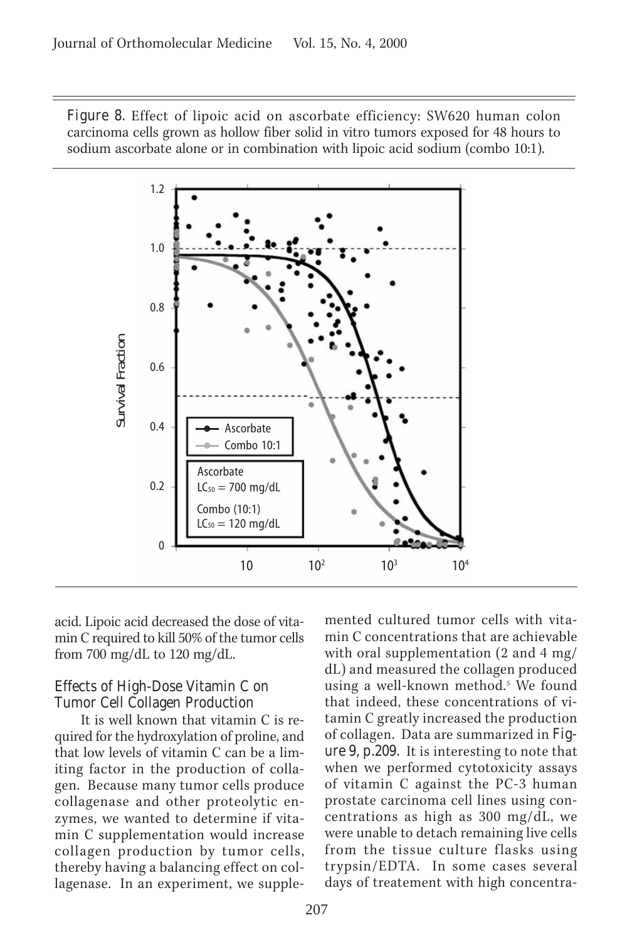Figure 8. Effect of lipoic acid on ascorbate efficiency: SW620 human colon carcinoma cells grown as hollow fiber solid in vitro tumors exposed for 48 hours to sodium ascorbate alone or in combination with lipoic acid sodium (combo 10:1).



acid. Lipoic acid decreased the dose of vitamin C required to kill 50% of the tumor cells from 700 mg/dL to 120 mg/dL.

## Effects of High-Dose Vitamin C on Tumor Cell Collagen Production

It is well known that vitamin C is required for the hydroxylation of proline, and that low levels of vitamin C can be a limiting factor in the production of collagen. Because many tumor cells produce collagenase and other proteolytic enzymes, we wanted to determine if vitamin C supplementation would increase collagen production by tumor cells, thereby having a balancing effect on collagenase. In an experiment, we supplemented cultured tumor cells with vitamin C concentrations that are achievable with oral supplementation (2 and 4 mg/ dL) and measured the collagen produced using a well-known method.<sup>5</sup> We found that indeed, these concentrations of vitamin C greatly increased the production of collagen. Data are summarized in Figure 9, p.209. It is interesting to note that when we performed cytotoxicity assays of vitamin C against the PC-3 human prostate carcinoma cell lines using concentrations as high as 300 mg/dL, we were unable to detach remaining live cells from the tissue culture flasks using trypsin/EDTA. In some cases several days of treatement with high concentra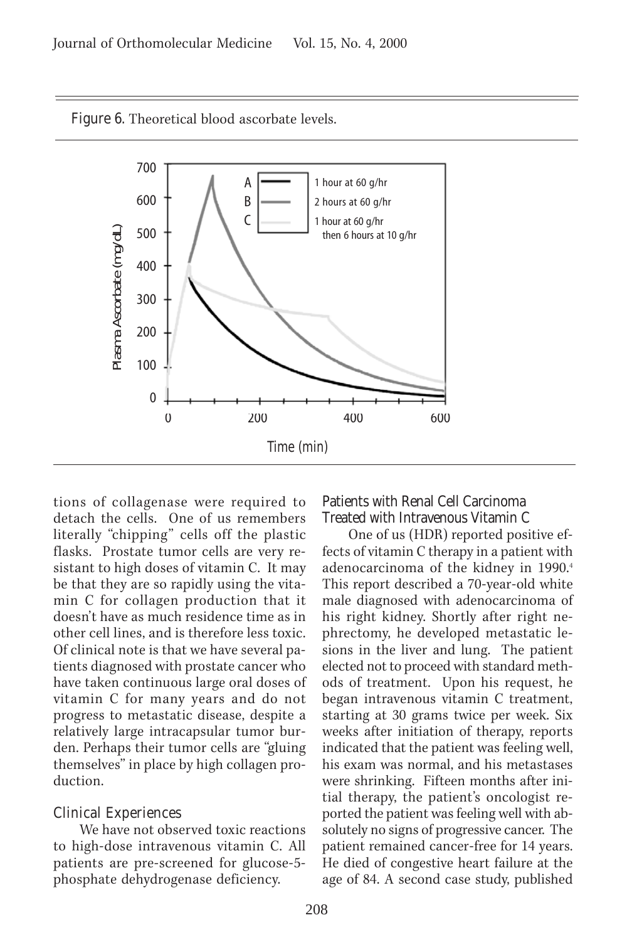Figure 6. Theoretical blood ascorbate levels.



tions of collagenase were required to detach the cells. One of us remembers literally "chipping" cells off the plastic flasks. Prostate tumor cells are very resistant to high doses of vitamin C. It may be that they are so rapidly using the vitamin C for collagen production that it doesn't have as much residence time as in other cell lines, and is therefore less toxic. Of clinical note is that we have several patients diagnosed with prostate cancer who have taken continuous large oral doses of vitamin C for many years and do not progress to metastatic disease, despite a relatively large intracapsular tumor burden. Perhaps their tumor cells are "gluing themselves" in place by high collagen production.

#### Clinical Experiences

We have not observed toxic reactions to high-dose intravenous vitamin C. All patients are pre-screened for glucose-5 phosphate dehydrogenase deficiency.

#### Patients with Renal Cell Carcinoma Treated with Intravenous Vitamin C

One of us (HDR) reported positive effects of vitamin C therapy in a patient with adenocarcinoma of the kidney in 1990.4 This report described a 70-year-old white male diagnosed with adenocarcinoma of his right kidney. Shortly after right nephrectomy, he developed metastatic lesions in the liver and lung. The patient elected not to proceed with standard methods of treatment. Upon his request, he began intravenous vitamin C treatment, starting at 30 grams twice per week. Six weeks after initiation of therapy, reports indicated that the patient was feeling well, his exam was normal, and his metastases were shrinking. Fifteen months after initial therapy, the patient's oncologist reported the patient was feeling well with absolutely no signs of progressive cancer. The patient remained cancer-free for 14 years. He died of congestive heart failure at the age of 84. A second case study, published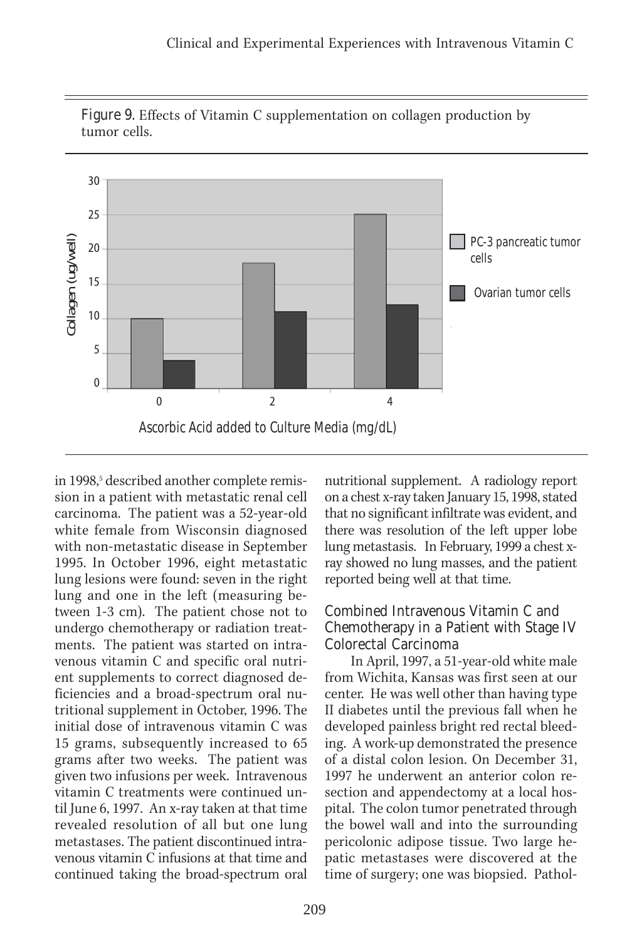

Figure 9. Effects of Vitamin C supplementation on collagen production by tumor cells.

in 1998,<sup>5</sup> described another complete remission in a patient with metastatic renal cell carcinoma. The patient was a 52-year-old white female from Wisconsin diagnosed with non-metastatic disease in September 1995. In October 1996, eight metastatic lung lesions were found: seven in the right lung and one in the left (measuring between 1-3 cm). The patient chose not to undergo chemotherapy or radiation treatments. The patient was started on intravenous vitamin C and specific oral nutrient supplements to correct diagnosed deficiencies and a broad-spectrum oral nutritional supplement in October, 1996. The initial dose of intravenous vitamin C was 15 grams, subsequently increased to 65 grams after two weeks. The patient was given two infusions per week. Intravenous vitamin C treatments were continued until June 6, 1997. An x-ray taken at that time revealed resolution of all but one lung metastases. The patient discontinued intravenous vitamin C infusions at that time and continued taking the broad-spectrum oral

nutritional supplement. A radiology report on a chest x-ray taken January 15, 1998, stated that no significant infiltrate was evident, and there was resolution of the left upper lobe lung metastasis. In February, 1999 a chest xray showed no lung masses, and the patient reported being well at that time.

# Combined Intravenous Vitamin C and Chemotherapy in a Patient with Stage IV Colorectal Carcinoma

In April, 1997, a 51-year-old white male from Wichita, Kansas was first seen at our center. He was well other than having type II diabetes until the previous fall when he developed painless bright red rectal bleeding. A work-up demonstrated the presence of a distal colon lesion. On December 31, 1997 he underwent an anterior colon resection and appendectomy at a local hospital. The colon tumor penetrated through the bowel wall and into the surrounding pericolonic adipose tissue. Two large hepatic metastases were discovered at the time of surgery; one was biopsied. Pathol-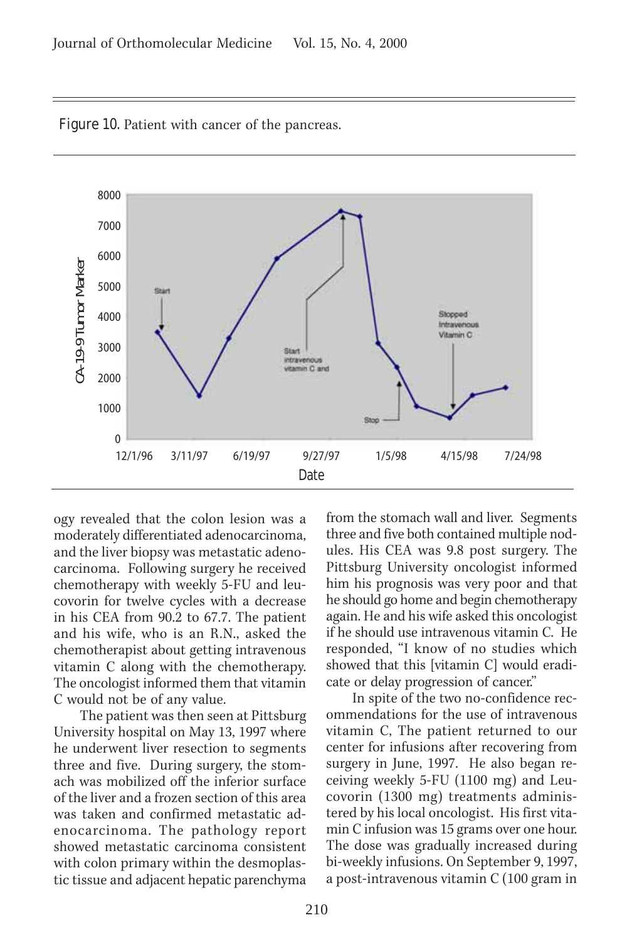

Figure 10. Patient with cancer of the pancreas.

ogy revealed that the colon lesion was a moderately differentiated adenocarcinoma, and the liver biopsy was metastatic adenocarcinoma. Following surgery he received chemotherapy with weekly 5-FU and leucovorin for twelve cycles with a decrease in his CEA from 90.2 to 67.7. The patient and his wife, who is an R.N., asked the chemotherapist about getting intravenous vitamin C along with the chemotherapy. The oncologist informed them that vitamin C would not be of any value.

The patient was then seen at Pittsburg University hospital on May 13, 1997 where he underwent liver resection to segments three and five. During surgery, the stomach was mobilized off the inferior surface of the liver and a frozen section of this area was taken and confirmed metastatic adenocarcinoma. The pathology report showed metastatic carcinoma consistent with colon primary within the desmoplastic tissue and adjacent hepatic parenchyma

from the stomach wall and liver. Segments three and five both contained multiple nodules. His CEA was 9.8 post surgery. The Pittsburg University oncologist informed him his prognosis was very poor and that he should go home and begin chemotherapy again. He and his wife asked this oncologist if he should use intravenous vitamin C. He responded, "I know of no studies which showed that this [vitamin C] would eradicate or delay progression of cancer."

In spite of the two no-confidence recommendations for the use of intravenous vitamin C, The patient returned to our center for infusions after recovering from surgery in June, 1997. He also began receiving weekly 5-FU (1100 mg) and Leucovorin (1300 mg) treatments administered by his local oncologist. His first vitamin C infusion was 15 grams over one hour. The dose was gradually increased during bi-weekly infusions. On September 9, 1997, a post-intravenous vitamin C (100 gram in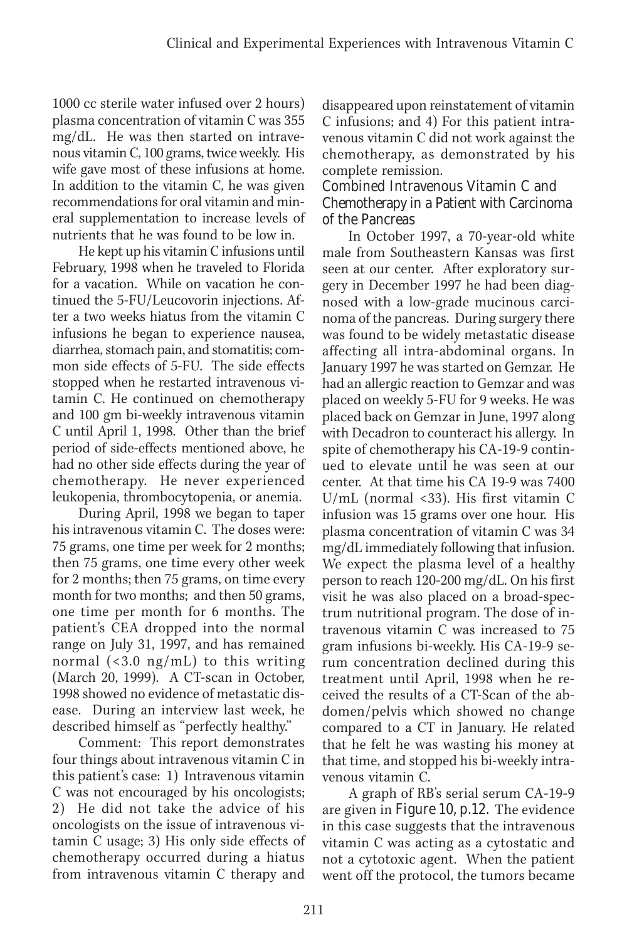1000 cc sterile water infused over 2 hours) plasma concentration of vitamin C was 355 mg/dL. He was then started on intravenous vitamin C, 100 grams, twice weekly. His wife gave most of these infusions at home. In addition to the vitamin C, he was given recommendations for oral vitamin and mineral supplementation to increase levels of nutrients that he was found to be low in.

He kept up his vitamin C infusions until February, 1998 when he traveled to Florida for a vacation. While on vacation he continued the 5-FU/Leucovorin injections. After a two weeks hiatus from the vitamin C infusions he began to experience nausea, diarrhea, stomach pain, and stomatitis; common side effects of 5-FU. The side effects stopped when he restarted intravenous vitamin C. He continued on chemotherapy and 100 gm bi-weekly intravenous vitamin C until April 1, 1998. Other than the brief period of side-effects mentioned above, he had no other side effects during the year of chemotherapy. He never experienced leukopenia, thrombocytopenia, or anemia.

During April, 1998 we began to taper his intravenous vitamin C. The doses were: 75 grams, one time per week for 2 months; then 75 grams, one time every other week for 2 months; then 75 grams, on time every month for two months; and then 50 grams, one time per month for 6 months. The patient's CEA dropped into the normal range on July 31, 1997, and has remained normal (<3.0 ng/mL) to this writing (March 20, 1999). A CT-scan in October, 1998 showed no evidence of metastatic disease. During an interview last week, he described himself as "perfectly healthy."

Comment: This report demonstrates four things about intravenous vitamin C in this patient's case: 1) Intravenous vitamin C was not encouraged by his oncologists; 2) He did not take the advice of his oncologists on the issue of intravenous vitamin C usage; 3) His only side effects of chemotherapy occurred during a hiatus from intravenous vitamin C therapy and

disappeared upon reinstatement of vitamin C infusions; and 4) For this patient intravenous vitamin C did not work against the chemotherapy, as demonstrated by his complete remission.

# Combined Intravenous Vitamin C and Chemotherapy in a Patient with Carcinoma of the Pancreas

In October 1997, a 70-year-old white male from Southeastern Kansas was first seen at our center. After exploratory surgery in December 1997 he had been diagnosed with a low-grade mucinous carcinoma of the pancreas. During surgery there was found to be widely metastatic disease affecting all intra-abdominal organs. In January 1997 he was started on Gemzar. He had an allergic reaction to Gemzar and was placed on weekly 5-FU for 9 weeks. He was placed back on Gemzar in June, 1997 along with Decadron to counteract his allergy. In spite of chemotherapy his CA-19-9 continued to elevate until he was seen at our center. At that time his CA 19-9 was 7400 U/mL (normal <33). His first vitamin C infusion was 15 grams over one hour. His plasma concentration of vitamin C was 34 mg/dL immediately following that infusion. We expect the plasma level of a healthy person to reach 120-200 mg/dL. On his first visit he was also placed on a broad-spectrum nutritional program. The dose of intravenous vitamin C was increased to 75 gram infusions bi-weekly. His CA-19-9 serum concentration declined during this treatment until April, 1998 when he received the results of a CT-Scan of the abdomen/pelvis which showed no change compared to a CT in January. He related that he felt he was wasting his money at that time, and stopped his bi-weekly intravenous vitamin C.

A graph of RB's serial serum CA-19-9 are given in Figure 10, p.12. The evidence in this case suggests that the intravenous vitamin C was acting as a cytostatic and not a cytotoxic agent. When the patient went off the protocol, the tumors became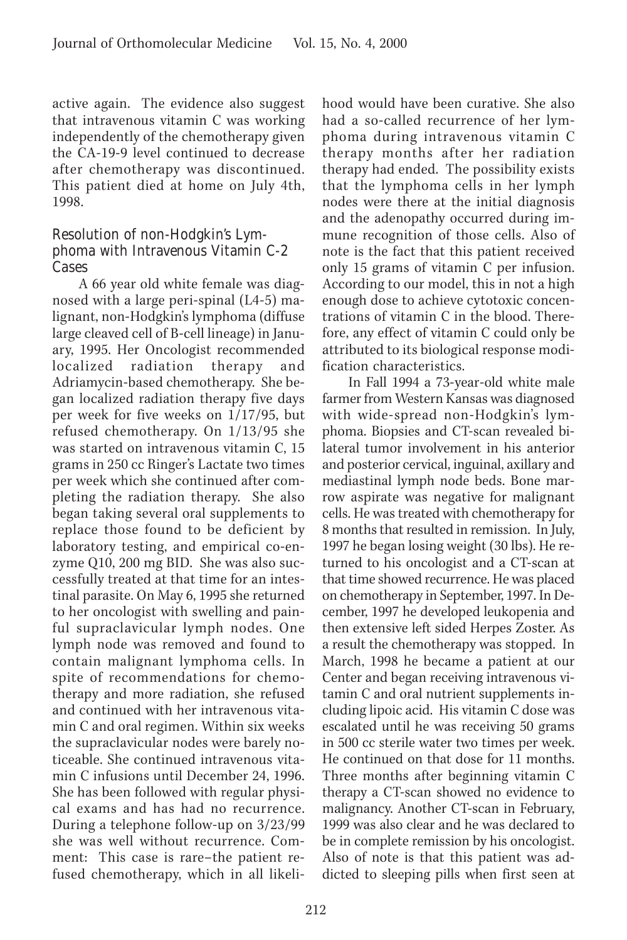active again. The evidence also suggest that intravenous vitamin C was working independently of the chemotherapy given the CA-19-9 level continued to decrease after chemotherapy was discontinued. This patient died at home on July 4th, 1998.

## Resolution of non-Hodgkin's Lymphoma with Intravenous Vitamin C-2 Cases

A 66 year old white female was diagnosed with a large peri-spinal (L4-5) malignant, non-Hodgkin's lymphoma (diffuse large cleaved cell of B-cell lineage) in January, 1995. Her Oncologist recommended localized radiation therapy and Adriamycin-based chemotherapy. She began localized radiation therapy five days per week for five weeks on 1/17/95, but refused chemotherapy. On 1/13/95 she was started on intravenous vitamin C, 15 grams in 250 cc Ringer's Lactate two times per week which she continued after completing the radiation therapy. She also began taking several oral supplements to replace those found to be deficient by laboratory testing, and empirical co-enzyme Q10, 200 mg BID. She was also successfully treated at that time for an intestinal parasite. On May 6, 1995 she returned to her oncologist with swelling and painful supraclavicular lymph nodes. One lymph node was removed and found to contain malignant lymphoma cells. In spite of recommendations for chemotherapy and more radiation, she refused and continued with her intravenous vitamin C and oral regimen. Within six weeks the supraclavicular nodes were barely noticeable. She continued intravenous vitamin C infusions until December 24, 1996. She has been followed with regular physical exams and has had no recurrence. During a telephone follow-up on 3/23/99 she was well without recurrence. Comment: This case is rare–the patient refused chemotherapy, which in all likelihood would have been curative. She also had a so-called recurrence of her lymphoma during intravenous vitamin C therapy months after her radiation therapy had ended. The possibility exists that the lymphoma cells in her lymph nodes were there at the initial diagnosis and the adenopathy occurred during immune recognition of those cells. Also of note is the fact that this patient received only 15 grams of vitamin C per infusion. According to our model, this in not a high enough dose to achieve cytotoxic concentrations of vitamin C in the blood. Therefore, any effect of vitamin C could only be attributed to its biological response modification characteristics.

In Fall 1994 a 73-year-old white male farmer from Western Kansas was diagnosed with wide-spread non-Hodgkin's lymphoma. Biopsies and CT-scan revealed bilateral tumor involvement in his anterior and posterior cervical, inguinal, axillary and mediastinal lymph node beds. Bone marrow aspirate was negative for malignant cells. He was treated with chemotherapy for 8 months that resulted in remission. In July, 1997 he began losing weight (30 lbs). He returned to his oncologist and a CT-scan at that time showed recurrence. He was placed on chemotherapy in September, 1997. In December, 1997 he developed leukopenia and then extensive left sided Herpes Zoster. As a result the chemotherapy was stopped. In March, 1998 he became a patient at our Center and began receiving intravenous vitamin C and oral nutrient supplements including lipoic acid. His vitamin C dose was escalated until he was receiving 50 grams in 500 cc sterile water two times per week. He continued on that dose for 11 months. Three months after beginning vitamin C therapy a CT-scan showed no evidence to malignancy. Another CT-scan in February, 1999 was also clear and he was declared to be in complete remission by his oncologist. Also of note is that this patient was addicted to sleeping pills when first seen at